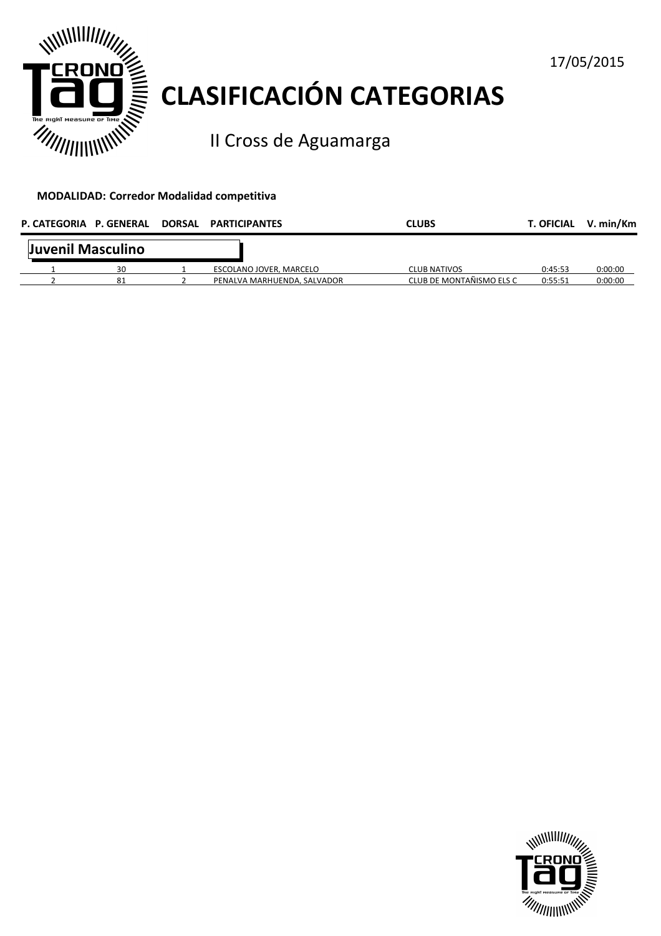

# **CLASIFICACIÓN CATEGORIAS**

II Cross de Aguamarga

#### **MODALIDAD: Corredor Modalidad competitiva**

| P. CATEGORIA P. GENERAL |    | DORSAL PARTICIPANTES        | <b>CLUBS</b>             | <b>T. OFICIAL</b> | V. min/Km |
|-------------------------|----|-----------------------------|--------------------------|-------------------|-----------|
| Juvenil Masculino       |    |                             |                          |                   |           |
|                         | 30 | ESCOLANO JOVER, MARCELO     | <b>CLUB NATIVOS</b>      | 0:45:53           | 0:00:00   |
|                         | 81 | PENALVA MARHUENDA, SALVADOR | CLUB DE MONTAÑISMO ELS C | 0:55:51           | 0:00:00   |



17/05/2015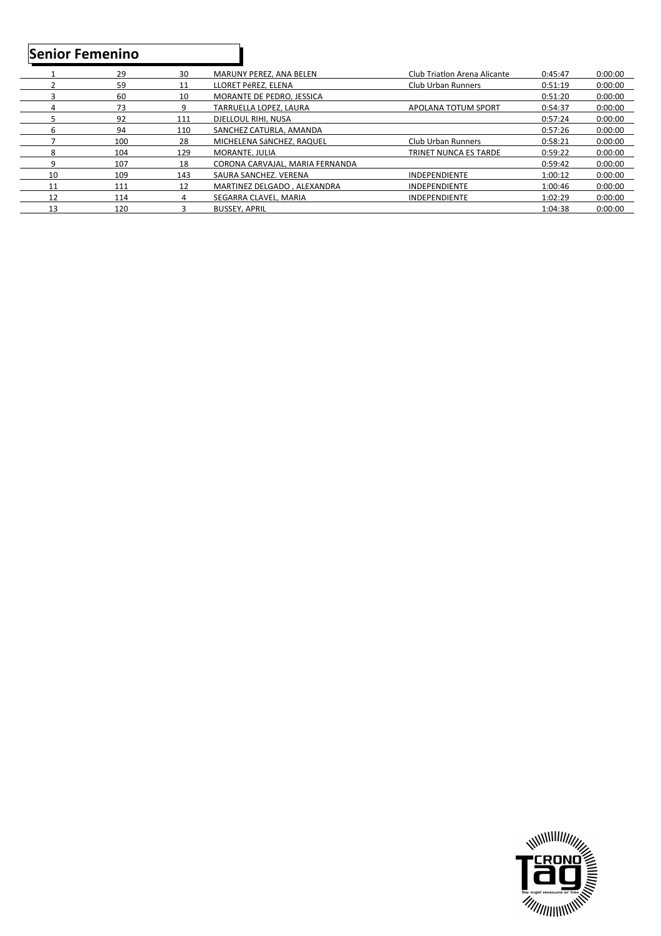### **Senior Femenino**

|    | 29  | 30  | MARUNY PEREZ. ANA BELEN         | Club Triatlon Arena Alicante | 0:45:47 | 0:00:00 |
|----|-----|-----|---------------------------------|------------------------------|---------|---------|
|    | 59  | 11  | LLORET PéREZ. ELENA             | Club Urban Runners           | 0:51:19 | 0:00:00 |
|    | 60  | 10  | MORANTE DE PEDRO. JESSICA       |                              | 0:51:20 | 0:00:00 |
|    | 73  | q   | TARRUELLA LOPEZ. LAURA          | APOLANA TOTUM SPORT          | 0:54:37 | 0:00:00 |
|    | 92  | 111 | DJELLOUL RIHI, NUSA             |                              | 0:57:24 | 0:00:00 |
| 6  | 94  | 110 | SANCHEZ CATURLA, AMANDA         |                              | 0:57:26 | 0:00:00 |
|    | 100 | 28  | MICHELENA SÁNCHEZ, RAQUEL       | Club Urban Runners           | 0:58:21 | 0:00:00 |
| 8  | 104 | 129 | MORANTE, JULIA                  | TRINET NUNCA ES TARDE        | 0:59:22 | 0:00:00 |
| q  | 107 | 18  | CORONA CARVAJAL, MARIA FERNANDA |                              | 0:59:42 | 0:00:00 |
| 10 | 109 | 143 | SAURA SANCHEZ, VERENA           | <b>INDEPENDIENTE</b>         | 1:00:12 | 0:00:00 |
| 11 | 111 | 12  | MARTINEZ DELGADO, ALEXANDRA     | <b>INDEPENDIENTE</b>         | 1:00:46 | 0:00:00 |
| 12 | 114 | 4   | SEGARRA CLAVEL, MARIA           | <b>INDEPENDIENTE</b>         | 1:02:29 | 0:00:00 |
| 13 | 120 |     | <b>BUSSEY, APRIL</b>            |                              | 1:04:38 | 0:00:00 |

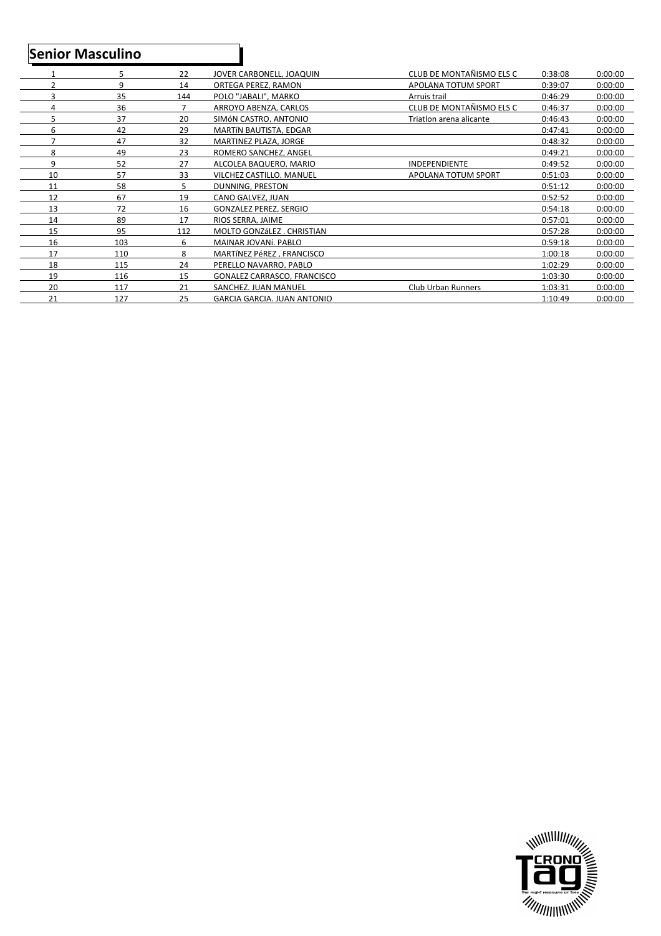## **Senior Masculino**

|    | 5   | 22  | JOVER CARBONELL, JOAQUIN           | CLUB DE MONTAÑISMO ELS C   | 0:38:08 | 0:00:00 |
|----|-----|-----|------------------------------------|----------------------------|---------|---------|
| 2  | 9   | 14  | ORTEGA PEREZ. RAMON                | APOLANA TOTUM SPORT        | 0:39:07 | 0:00:00 |
| 3  | 35  | 144 | POLO "JABALI", MARKO               | Arruis trail               | 0:46:29 | 0:00:00 |
| 4  | 36  |     | ARROYO ABENZA, CARLOS              | CLUB DE MONTAÑISMO ELS C   | 0:46:37 | 0:00:00 |
| 5  | 37  | 20  | SIMÓN CASTRO, ANTONIO              | Triatlon arena alicante    | 0:46:43 | 0:00:00 |
| 6  | 42  | 29  | MARTÍN BAUTISTA, EDGAR             |                            | 0:47:41 | 0:00:00 |
| ⇁  | 47  | 32  | MARTINEZ PLAZA, JORGE              |                            | 0:48:32 | 0:00:00 |
| 8  | 49  | 23  | ROMERO SANCHEZ, ANGEL              |                            | 0:49:21 | 0:00:00 |
| 9  | 52  | 27  | ALCOLEA BAQUERO, MARIO             | INDEPENDIENTE              | 0:49:52 | 0:00:00 |
| 10 | 57  | 33  | <b>VILCHEZ CASTILLO, MANUEL</b>    | <b>APOLANA TOTUM SPORT</b> | 0:51:03 | 0:00:00 |
| 11 | 58  | 5.  | DUNNING, PRESTON                   |                            | 0:51:12 | 0:00:00 |
| 12 | 67  | 19  | CANO GALVEZ, JUAN                  |                            | 0:52:52 | 0:00:00 |
| 13 | 72  | 16  | GONZALEZ PEREZ. SERGIO             |                            | 0:54:18 | 0:00:00 |
| 14 | 89  | 17  | RIOS SERRA. JAIME                  |                            | 0:57:01 | 0:00:00 |
| 15 | 95  | 112 | MOLTO GONZÁLEZ, CHRISTIAN          |                            | 0:57:28 | 0:00:00 |
| 16 | 103 | 6   | MAINAR JOVANÍ, PABLO               |                            | 0:59:18 | 0:00:00 |
| 17 | 110 | 8   | MARTÍNEZ PéREZ. FRANCISCO          |                            | 1:00:18 | 0:00:00 |
| 18 | 115 | 24  | PERELLO NAVARRO, PABLO             |                            | 1:02:29 | 0:00:00 |
| 19 | 116 | 15  | <b>GONALEZ CARRASCO, FRANCISCO</b> |                            | 1:03:30 | 0:00:00 |
| 20 | 117 | 21  | SANCHEZ. JUAN MANUEL               | Club Urban Runners         | 1:03:31 | 0:00:00 |
| 21 | 127 | 25  | GARCIA GARCIA, JUAN ANTONIO        |                            | 1:10:49 | 0:00:00 |

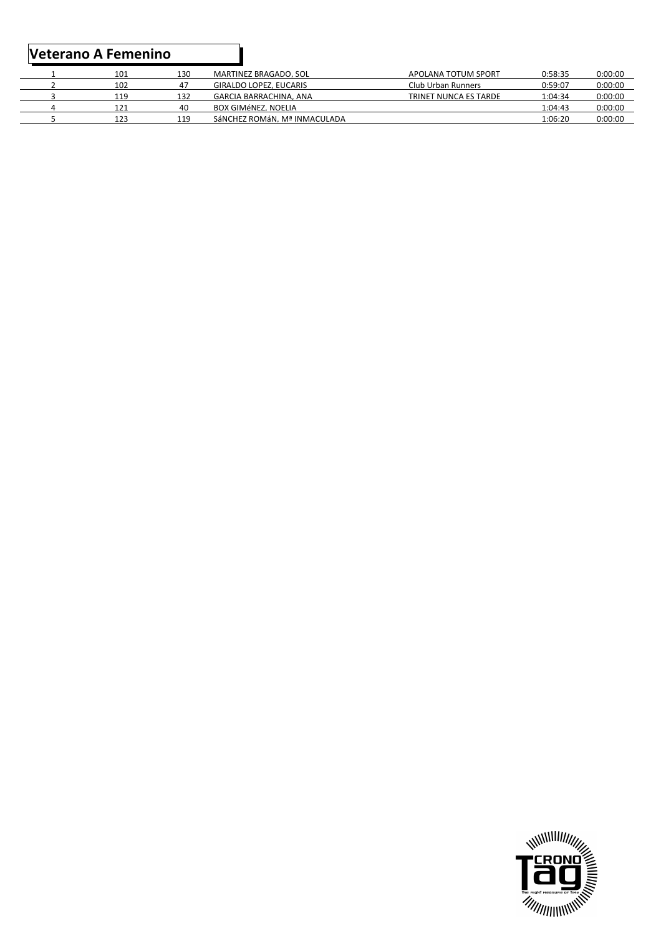|  | 101 | 130 | MARTINEZ BRAGADO, SOL         | APOLANA TOTUM SPORT   | 0:58:35 | 0:00:00 |
|--|-----|-----|-------------------------------|-----------------------|---------|---------|
|  | 102 | 47  | GIRALDO LOPEZ, EUCARIS        | Club Urban Runners    | 0:59:07 | 0:00:00 |
|  | 119 | 132 | GARCIA BARRACHINA, ANA        | TRINET NUNCA ES TARDE | 1:04:34 | 0:00:00 |
|  | 121 | 40  | BOX GIMÉNEZ, NOELIA           |                       | 1:04:43 | 0:00:00 |
|  | 123 | 119 | SÁNCHEZ ROMÁN. Mª INMACUI ADA |                       | 1:06:20 | 0:00:00 |
|  |     |     |                               |                       |         |         |

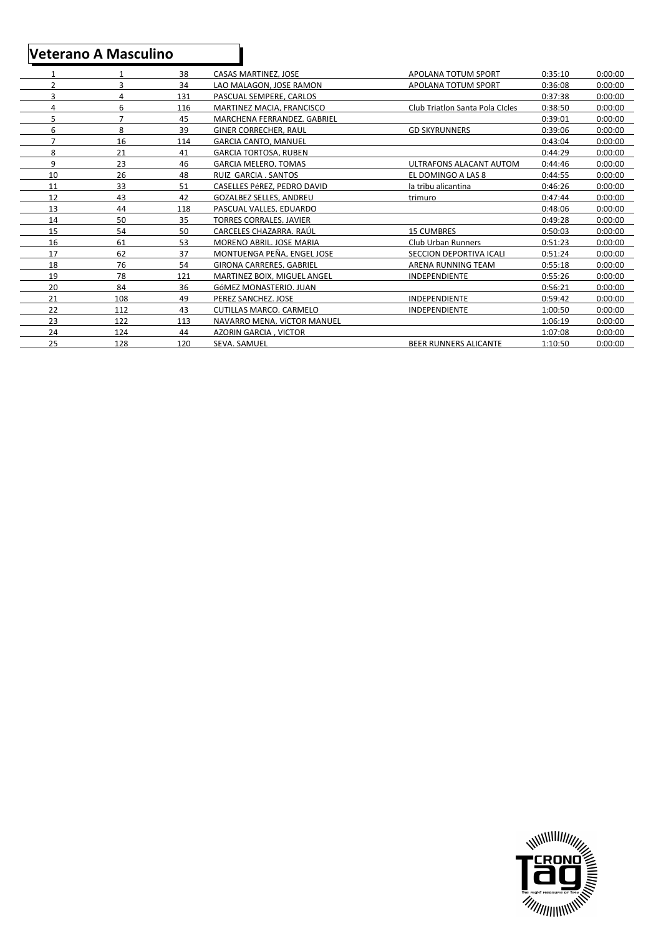### **Veterano A Masculino**

|                |                | 38  | <b>CASAS MARTINEZ, JOSE</b>      | APOLANA TOTUM SPORT             | 0:35:10 | 0:00:00 |
|----------------|----------------|-----|----------------------------------|---------------------------------|---------|---------|
| $\overline{2}$ | 3              | 34  | LAO MALAGON. JOSE RAMON          | APOLANA TOTUM SPORT             | 0:36:08 | 0:00:00 |
| 3              | 4              | 131 | PASCUAL SEMPERE. CARLOS          |                                 | 0:37:38 | 0:00:00 |
| 4              | 6              | 116 | <b>MARTINEZ MACIA, FRANCISCO</b> | Club Triation Santa Pola Cicles | 0:38:50 | 0:00:00 |
| 5              | $\overline{7}$ | 45  | MARCHENA FERRANDEZ. GABRIEL      |                                 | 0:39:01 | 0:00:00 |
| 6              | 8              | 39  | <b>GINER CORRECHER, RAUL</b>     | <b>GD SKYRUNNERS</b>            | 0:39:06 | 0:00:00 |
|                | 16             | 114 | <b>GARCIA CANTO, MANUEL</b>      |                                 | 0:43:04 | 0:00:00 |
| 8              | 21             | 41  | <b>GARCIA TORTOSA, RUBEN</b>     |                                 | 0:44:29 | 0:00:00 |
| 9              | 23             | 46  | <b>GARCIA MELERO, TOMAS</b>      | ULTRAFONS ALACANT AUTOM         | 0:44:46 | 0:00:00 |
| 10             | 26             | 48  | RUIZ GARCIA . SANTOS             | EL DOMINGO A LAS 8              | 0:44:55 | 0:00:00 |
| 11             | 33             | 51  | CASELLES PéREZ. PEDRO DAVID      | la tribu alicantina             | 0:46:26 | 0:00:00 |
| 12             | 43             | 42  | <b>GOZALBEZ SELLES, ANDREU</b>   | trimuro                         | 0:47:44 | 0:00:00 |
| 13             | 44             | 118 | PASCUAL VALLES. EDUARDO          |                                 | 0:48:06 | 0:00:00 |
| 14             | 50             | 35  | <b>TORRES CORRALES, JAVIER</b>   |                                 | 0:49:28 | 0:00:00 |
| 15             | 54             | 50  | CARCELES CHAZARRA. RAÚL          | <b>15 CUMBRES</b>               | 0:50:03 | 0:00:00 |
| 16             | 61             | 53  | MORENO ABRIL, JOSE MARIA         | <b>Club Urban Runners</b>       | 0:51:23 | 0:00:00 |
| 17             | 62             | 37  | MONTUENGA PEÑA. ENGEL JOSE       | <b>SECCION DEPORTIVA ICALI</b>  | 0:51:24 | 0:00:00 |
| 18             | 76             | 54  | <b>GIRONA CARRERES, GABRIEL</b>  | ARENA RUNNING TEAM              | 0:55:18 | 0:00:00 |
| 19             | 78             | 121 | MARTINEZ BOIX, MIGUEL ANGEL      | <b>INDEPENDIENTE</b>            | 0:55:26 | 0:00:00 |
| 20             | 84             | 36  | GÓMEZ MONASTERIO, JUAN           |                                 | 0:56:21 | 0:00:00 |
| 21             | 108            | 49  | PEREZ SANCHEZ. JOSE              | <b>INDEPENDIENTE</b>            | 0:59:42 | 0:00:00 |
| 22             | 112            | 43  | <b>CUTILLAS MARCO, CARMELO</b>   | <b>INDEPENDIENTE</b>            | 1:00:50 | 0:00:00 |
| 23             | 122            | 113 | NAVARRO MENA, VÍCTOR MANUEL      |                                 | 1:06:19 | 0:00:00 |
| 24             | 124            | 44  | <b>AZORIN GARCIA, VICTOR</b>     |                                 | 1:07:08 | 0:00:00 |
| 25             | 128            | 120 | SEVA. SAMUEL                     | <b>BEER RUNNERS ALICANTE</b>    | 1:10:50 | 0:00:00 |
|                |                |     |                                  |                                 |         |         |

ı

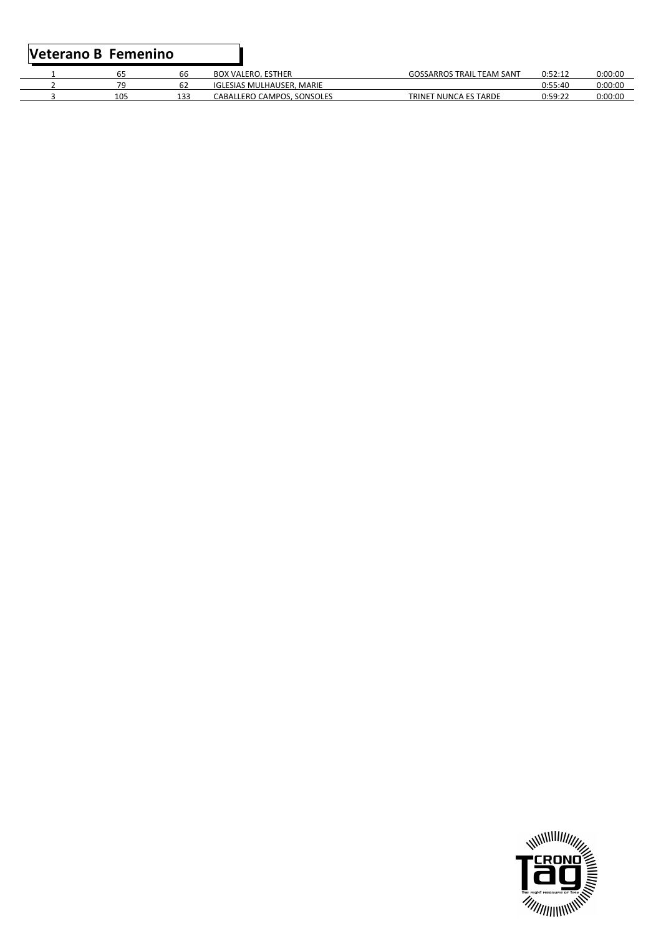#### **Veterano B Femenino**

|     | bb  | <b>BOX VALERO, ESTHER</b>  | <b>GOSSARROS TRAIL TEAM SANT</b> | ∩∙52∙1′ | 0:00:00 |
|-----|-----|----------------------------|----------------------------------|---------|---------|
| 70  |     | IGLESIAS MULHAUSER, MARIE  |                                  | 0:55:40 | 0:00:00 |
| 105 | 133 | CABALLERO CAMPOS. SONSOLES | T NUNCA ES TARDE<br>TRINET       | 0:59:22 | 0:00:00 |

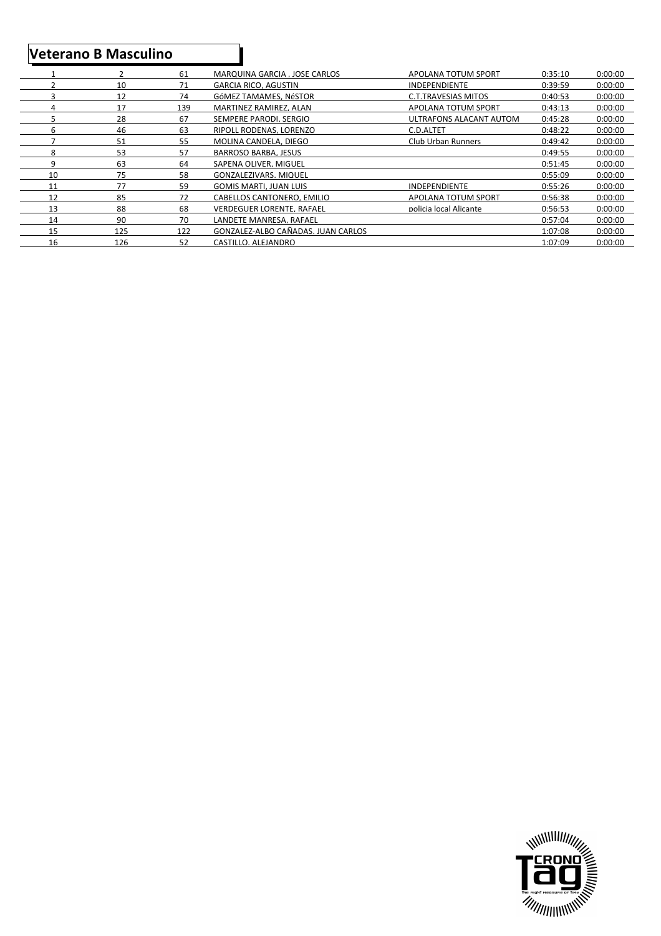### **Veterano B Masculino**

|    | 2   | 61  | MARQUINA GARCIA . JOSE CARLOS      | APOLANA TOTUM SPORT        | 0:35:10 | 0:00:00 |
|----|-----|-----|------------------------------------|----------------------------|---------|---------|
|    | 10  | 71  | GARCIA RICO, AGUSTIN               | <b>INDEPENDIENTE</b>       | 0:39:59 | 0:00:00 |
|    | 12  | 74  | GÓMEZ TAMAMES. NÉSTOR              | <b>C.T.TRAVESIAS MITOS</b> | 0:40:53 | 0:00:00 |
|    | 17  | 139 | MARTINEZ RAMIREZ, ALAN             | APOLANA TOTUM SPORT        | 0:43:13 | 0:00:00 |
|    | 28  | 67  | SEMPERE PARODI. SERGIO             | ULTRAFONS ALACANT AUTOM    | 0:45:28 | 0:00:00 |
| h  | 46  | 63  | RIPOLL RODENAS, LORENZO            | C.D.ALTET                  | 0:48:22 | 0:00:00 |
|    | 51  | 55  | MOLINA CANDELA, DIEGO              | <b>Club Urban Runners</b>  | 0:49:42 | 0:00:00 |
| 8  | 53  | 57  | <b>BARROSO BARBA, JESUS</b>        |                            | 0:49:55 | 0:00:00 |
| 9  | 63  | 64  | SAPENA OLIVER. MIGUEL              |                            | 0:51:45 | 0:00:00 |
| 10 | 75  | 58  | GONZALEZIVARS, MIQUEL              |                            | 0:55:09 | 0:00:00 |
| 11 | 77  | 59  | <b>GOMIS MARTI, JUAN LUIS</b>      | <b>INDEPENDIENTE</b>       | 0:55:26 | 0:00:00 |
| 12 | 85  | 72  | CABELLOS CANTONERO. EMILIO         | APOLANA TOTUM SPORT        | 0:56:38 | 0:00:00 |
| 13 | 88  | 68  | VERDEGUER LORENTE. RAFAEL          | policia local Alicante     | 0:56:53 | 0:00:00 |
| 14 | 90  | 70  | LANDETE MANRESA. RAFAEL            |                            | 0:57:04 | 0:00:00 |
| 15 | 125 | 122 | GONZALEZ-ALBO CAÑADAS. JUAN CARLOS |                            | 1:07:08 | 0:00:00 |
| 16 | 126 | 52  | CASTILLO, ALEJANDRO                |                            | 1:07:09 | 0:00:00 |

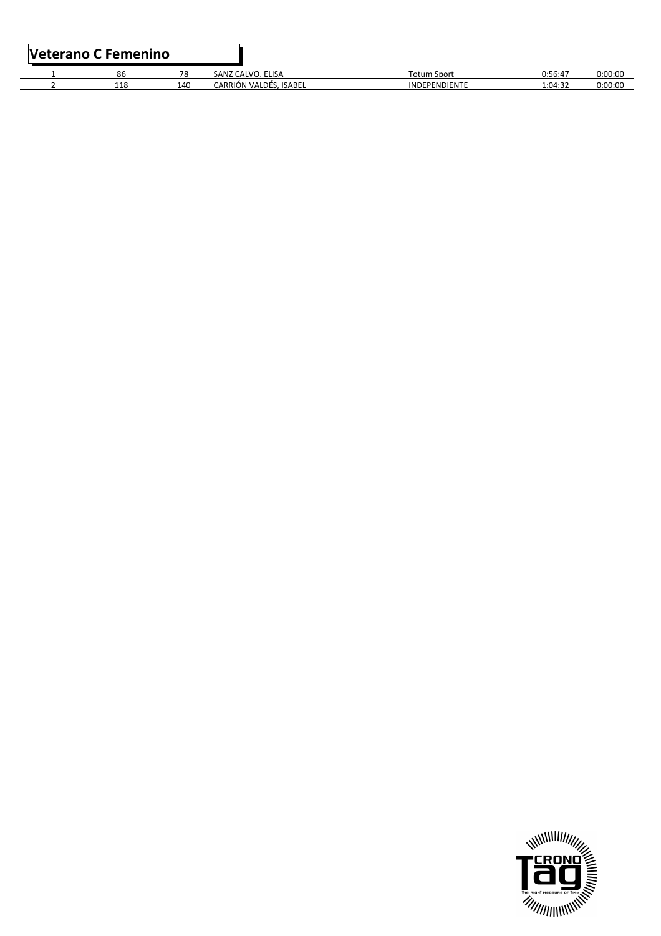| Veterano C Femenino |     |                        |                      |         |         |
|---------------------|-----|------------------------|----------------------|---------|---------|
| 86                  | 78  | SANZ CALVO, ELISA      | Totum Sport          | 0:56:47 | 0:00:00 |
| 118                 | 140 | CARRIÓN VALDÉS. ISABEL | <b>INDEPENDIENTE</b> | 1:04:32 | 0:00:00 |

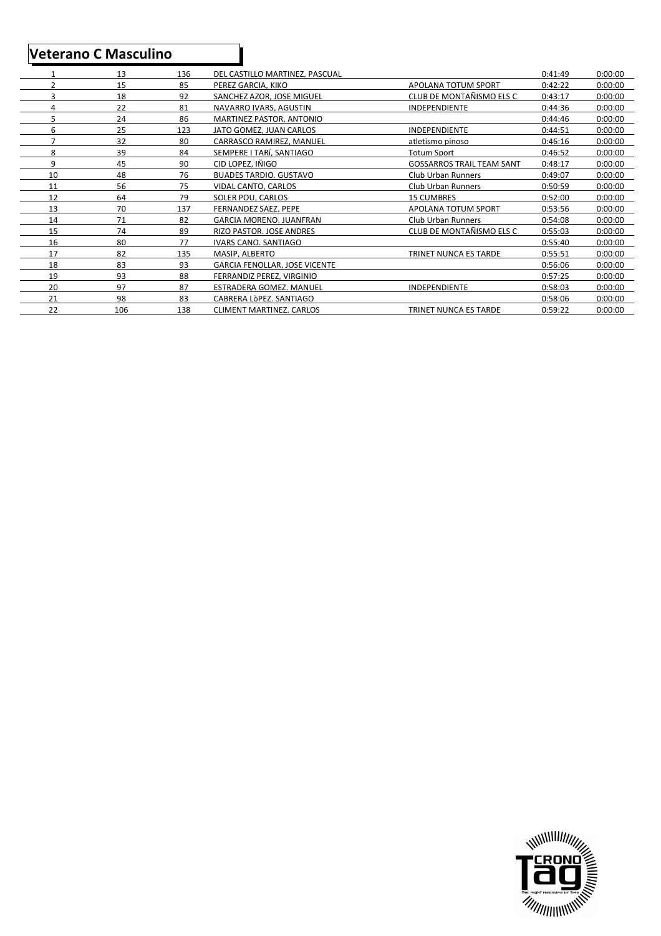### **Veterano C Masculino**

|                | 13  | 136 | DEL CASTILLO MARTINEZ. PASCUAL       |                                  | 0:41:49 | 0:00:00 |
|----------------|-----|-----|--------------------------------------|----------------------------------|---------|---------|
| 2              | 15  | 85  | PEREZ GARCIA. KIKO                   | APOLANA TOTUM SPORT              | 0:42:22 | 0:00:00 |
| 3              | 18  | 92  | SANCHEZ AZOR, JOSE MIGUEL            | CLUB DE MONTAÑISMO ELS C         | 0:43:17 | 0:00:00 |
| 4              | 22  | 81  | NAVARRO IVARS, AGUSTIN               | INDEPENDIENTE                    | 0:44:36 | 0:00:00 |
| 5              | 24  | 86  | MARTINEZ PASTOR, ANTONIO             |                                  | 0:44:46 | 0:00:00 |
| 6              | 25  | 123 | JATO GOMEZ, JUAN CARLOS              | INDEPENDIENTE                    | 0:44:51 | 0:00:00 |
| $\overline{7}$ | 32  | 80  | CARRASCO RAMIREZ, MANUEL             | atletismo pinoso                 | 0:46:16 | 0:00:00 |
| 8              | 39  | 84  | SEMPERE I TARÍ. SANTIAGO             | <b>Totum Sport</b>               | 0:46:52 | 0:00:00 |
| 9              | 45  | 90  | CID LOPEZ. IÑIGO                     | <b>GOSSARROS TRAIL TEAM SANT</b> | 0:48:17 | 0:00:00 |
| 10             | 48  | 76  | <b>BUADES TARDIO. GUSTAVO</b>        | Club Urban Runners               | 0:49:07 | 0:00:00 |
| 11             | 56  | 75  | VIDAL CANTO. CARLOS                  | Club Urban Runners               | 0:50:59 | 0:00:00 |
| 12             | 64  | 79  | SOLER POU. CARLOS                    | <b>15 CUMBRES</b>                | 0:52:00 | 0:00:00 |
| 13             | 70  | 137 | FERNANDEZ SAEZ. PEPE                 | APOLANA TOTUM SPORT              | 0:53:56 | 0:00:00 |
| 14             | 71  | 82  | <b>GARCIA MORENO, JUANFRAN</b>       | Club Urban Runners               | 0:54:08 | 0:00:00 |
| 15             | 74  | 89  | RIZO PASTOR. JOSE ANDRES             | CLUB DE MONTAÑISMO ELS C         | 0:55:03 | 0:00:00 |
| 16             | 80  | 77  | <b>IVARS CANO, SANTIAGO</b>          |                                  | 0:55:40 | 0:00:00 |
| 17             | 82  | 135 | MASIP. ALBERTO                       | TRINET NUNCA ES TARDE            | 0:55:51 | 0:00:00 |
| 18             | 83  | 93  | <b>GARCIA FENOLLAR. JOSE VICENTE</b> |                                  | 0:56:06 | 0:00:00 |
| 19             | 93  | 88  | FERRANDIZ PEREZ. VIRGINIO            |                                  | 0:57:25 | 0:00:00 |
| 20             | 97  | 87  | ESTRADERA GOMEZ. MANUEL              | INDEPENDIENTE                    | 0:58:03 | 0:00:00 |
| 21             | 98  | 83  | CABRERA LÒPEZ, SANTIAGO              |                                  | 0:58:06 | 0:00:00 |
| 22             | 106 | 138 | <b>CLIMENT MARTINEZ, CARLOS</b>      | TRINET NUNCA ES TARDE            | 0:59:22 | 0:00:00 |

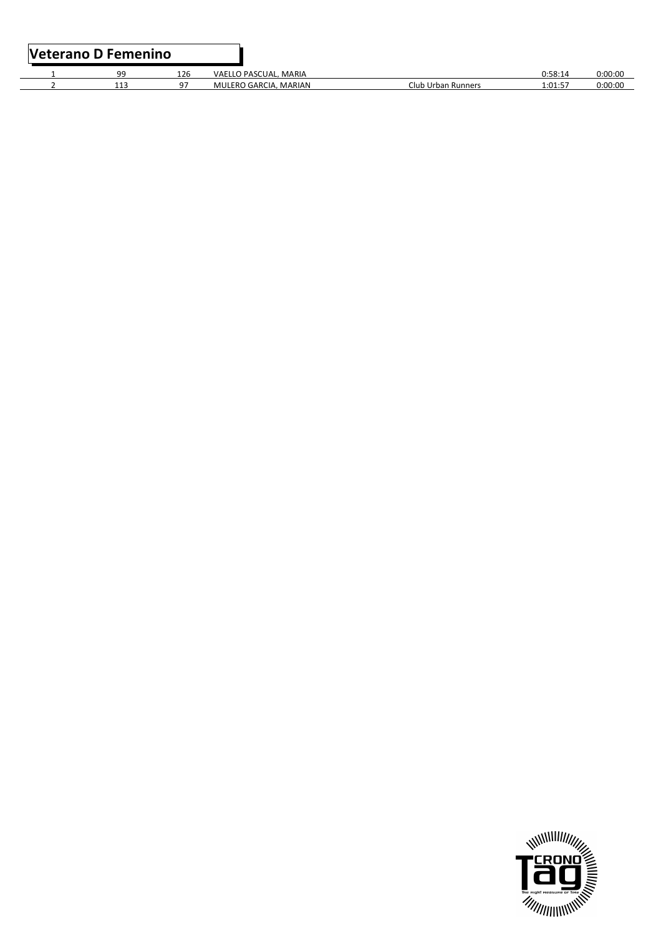| <b>Veterano D Femenino</b> |     |                       |                    |         |         |
|----------------------------|-----|-----------------------|--------------------|---------|---------|
| ۵Q                         | 126 | VAELLO PASCUAL, MARIA |                    | 0:58:14 | 0:00:00 |
| 113                        | 07  | MULERO GARCIA, MARIAN | Club Urban Runners | 1:01:57 | 0:00:00 |

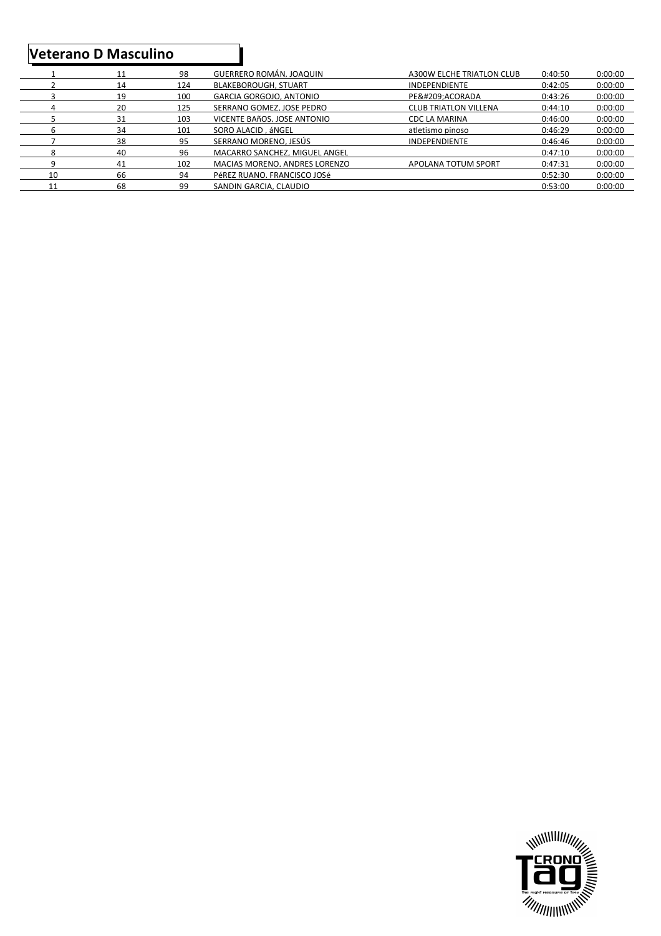### **Veterano D Masculino**

|    | 11 | 98  | GUERRERO ROMÁN, JOAQUIN       | A300W ELCHE TRIATLON CLUB    | 0:40:50 | 0:00:00 |
|----|----|-----|-------------------------------|------------------------------|---------|---------|
|    | 14 | 124 | BLAKEBOROUGH, STUART          | <b>INDEPENDIENTE</b>         | 0:42:05 | 0:00:00 |
|    | 19 | 100 | GARCIA GORGOJO, ANTONIO       | PEÑ:ACORADA                  | 0:43:26 | 0:00:00 |
|    | 20 | 125 | SERRANO GOMEZ. JOSE PEDRO     | <b>CLUB TRIATLON VILLENA</b> | 0:44:10 | 0:00:00 |
|    | 31 | 103 | VICENTE BAñOS, JOSE ANTONIO   | CDC LA MARINA                | 0:46:00 | 0:00:00 |
|    | 34 | 101 | SORO ALACID, áNGEL            | atletismo pinoso             | 0:46:29 | 0:00:00 |
|    | 38 | 95  | SERRANO MORENO. JESÚS         | <b>INDEPENDIENTE</b>         | 0:46:46 | 0:00:00 |
| Δ  | 40 | 96  | MACARRO SANCHEZ. MIGUEL ANGEL |                              | 0:47:10 | 0:00:00 |
| Q  | 41 | 102 | MACIAS MORENO, ANDRES LORENZO | APOLANA TOTUM SPORT          | 0:47:31 | 0:00:00 |
| 10 | 66 | 94  | PÉREZ RUANO. FRANCISCO JOSÉ   |                              | 0:52:30 | 0:00:00 |
| 11 | 68 | 99  | SANDIN GARCIA, CLAUDIO        |                              | 0:53:00 | 0:00:00 |

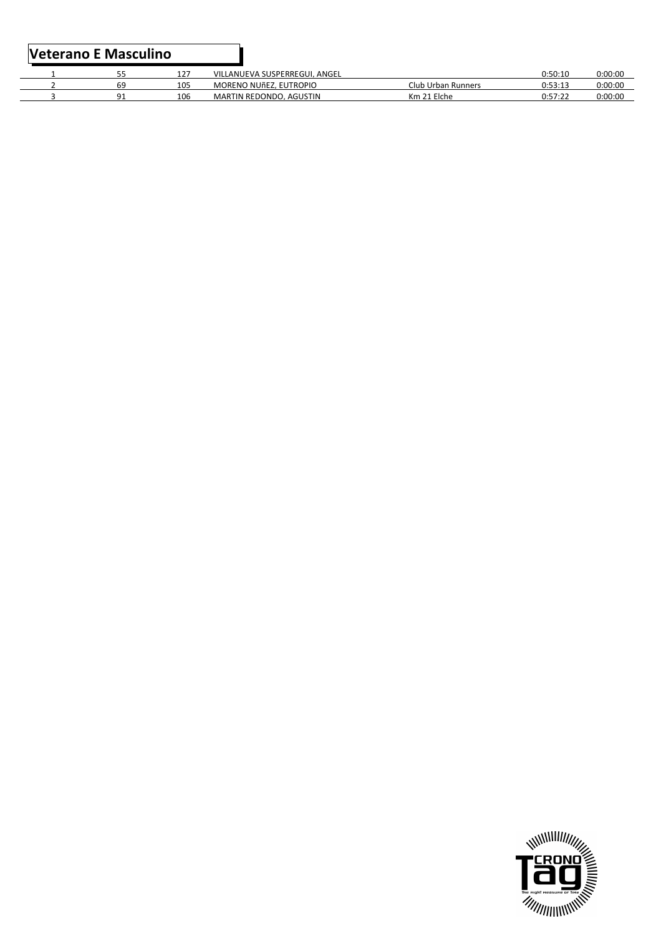#### **Veterano E Masculino**

| --   |     | VILLANUEVA SUSPERREGUI, ANGEL       |                    |                             |         |
|------|-----|-------------------------------------|--------------------|-----------------------------|---------|
| --   | 127 |                                     |                    | 0:50:10                     | 0:00:00 |
| 69   | 105 | MORENO NUÑEZ, EUTROPIO              | Club Urban Runners | 1.52.17<br>. <u>.</u>       | 0:00:00 |
| ົາ 1 | 106 | <b>MARTIN REDONDO.</b><br>. AGUSTIN | 21 Elche<br>Km 21  | 1.57.27<br>0. <i>31</i> .44 | 0:00:00 |

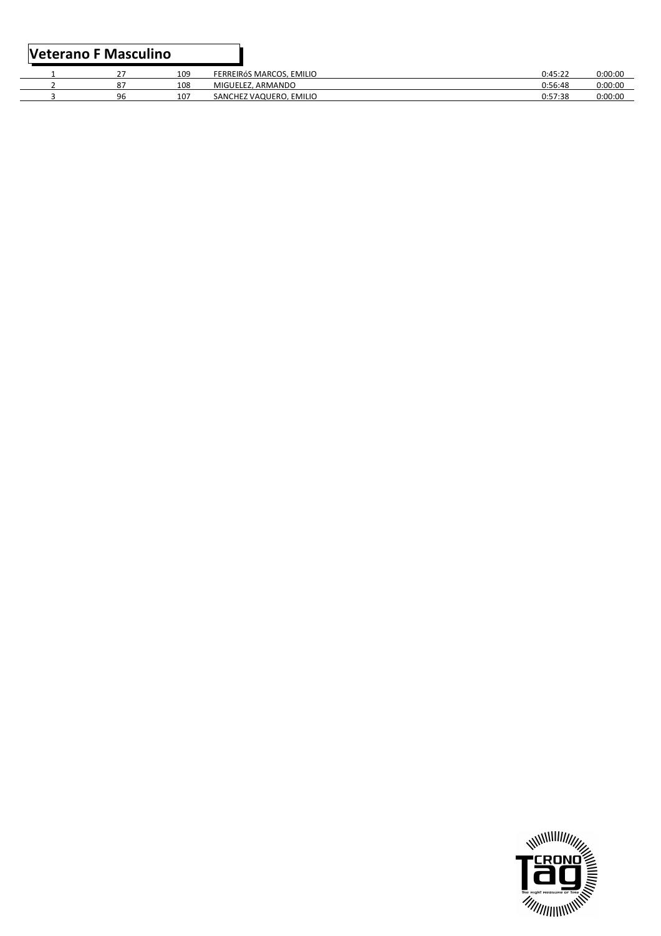|  |    | 109 | EERREIRÓS MARCOS. EMILIO | 0:45:22 | 0:00:00 |
|--|----|-----|--------------------------|---------|---------|
|  |    | 108 | MIGUELEZ, ARMANDO        | 0:56:48 | 0:00:00 |
|  | 96 | 107 | SANCHEZ VAQUERO. EMILIO  | 0:57:38 | 0:00:00 |
|  |    |     |                          |         |         |